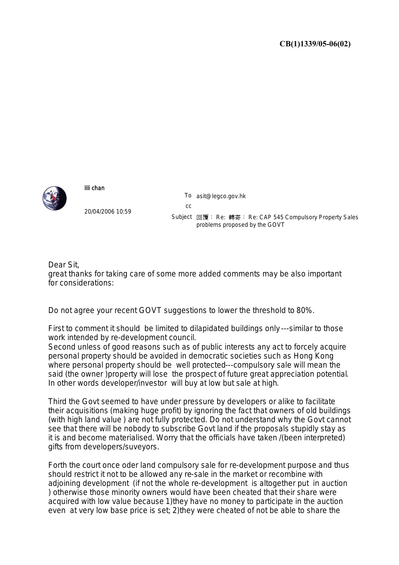

## lili chan

20/04/2006 10:59 To asit@legco.gov.hk cc Subject 回覆: Re: 轉寄: Re: CAP 545 Compulsory Property Sales problems proposed by the GOVT

Dear Sit, great thanks for taking care of some more added comments may be also important for considerations:

Do not agree your recent GOVT suggestions to lower the threshold to 80%.

First to comment it should be limited to dilapidated buildings only ---similar to those work intended by re-development council.

Second unless of good reasons such as of public interests any act to forcely acquire personal property should be avoided in democratic societies such as Hong Kong where personal property should be well protected---compulsory sale will mean the said (the owner )property will lose the prospect of future great appreciation potential. In other words developer/investor will buy at low but sale at high.

Third the Govt seemed to have under pressure by developers or alike to facilitate their acquisitions (making huge profit) by ignoring the fact that owners of old buildings (with high land value ) are not fully protected. Do not understand why the Govt cannot see that there will be nobody to subscribe Govt land if the proposals stupidly stay as it is and become materialised. Worry that the officials have taken /(been interpreted) gifts from developers/suveyors.

Forth the court once oder land compulsory sale for re-development purpose and thus should restrict it not to be allowed any re-sale in the market or recombine with adjoining development (if not the whole re-development is altogether put in auction ) otherwise those minority owners would have been cheated that their share were acquired with low value because 1)they have no money to participate in the auction even at very low base price is set; 2)they were cheated of not be able to share the